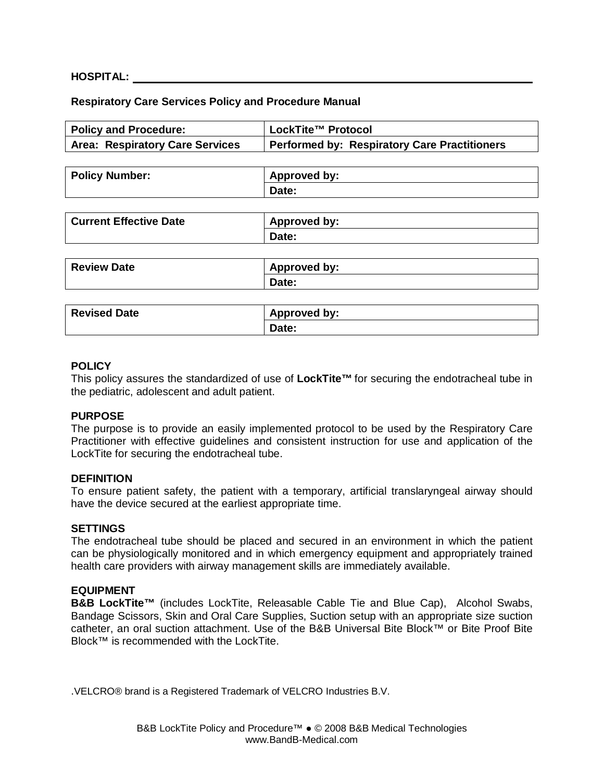### **HOSPITAL:**

### **Respiratory Care Services Policy and Procedure Manual**

| <b>Policy and Procedure:</b>           | LockTite™ Protocol                                  |
|----------------------------------------|-----------------------------------------------------|
| <b>Area: Respiratory Care Services</b> | <b>Performed by: Respiratory Care Practitioners</b> |
|                                        |                                                     |
| <b>Policy Number:</b>                  | <b>Approved by:</b>                                 |
|                                        | Date:                                               |
|                                        |                                                     |
| <b>Current Effective Date</b>          | <b>Approved by:</b>                                 |
|                                        | Date:                                               |
|                                        |                                                     |
| <b>Review Date</b>                     | <b>Approved by:</b>                                 |
|                                        | Date:                                               |
|                                        |                                                     |
| <b>Revised Date</b>                    | <b>Approved by:</b>                                 |
|                                        | Date:                                               |
|                                        |                                                     |

#### **POLICY**

This policy assures the standardized of use of **LockTite™** for securing the endotracheal tube in the pediatric, adolescent and adult patient.

### **PURPOSE**

The purpose is to provide an easily implemented protocol to be used by the Respiratory Care Practitioner with effective guidelines and consistent instruction for use and application of the LockTite for securing the endotracheal tube.

#### **DEFINITION**

To ensure patient safety, the patient with a temporary, artificial translaryngeal airway should have the device secured at the earliest appropriate time.

#### **SETTINGS**

The endotracheal tube should be placed and secured in an environment in which the patient can be physiologically monitored and in which emergency equipment and appropriately trained health care providers with airway management skills are immediately available.

#### **EQUIPMENT**

**B&B LockTite™** (includes LockTite, Releasable Cable Tie and Blue Cap), Alcohol Swabs, Bandage Scissors, Skin and Oral Care Supplies, Suction setup with an appropriate size suction catheter, an oral suction attachment. Use of the B&B Universal Bite Block™ or Bite Proof Bite Block™ is recommended with the LockTite.

.VELCRO® brand is a Registered Trademark of VELCRO Industries B.V.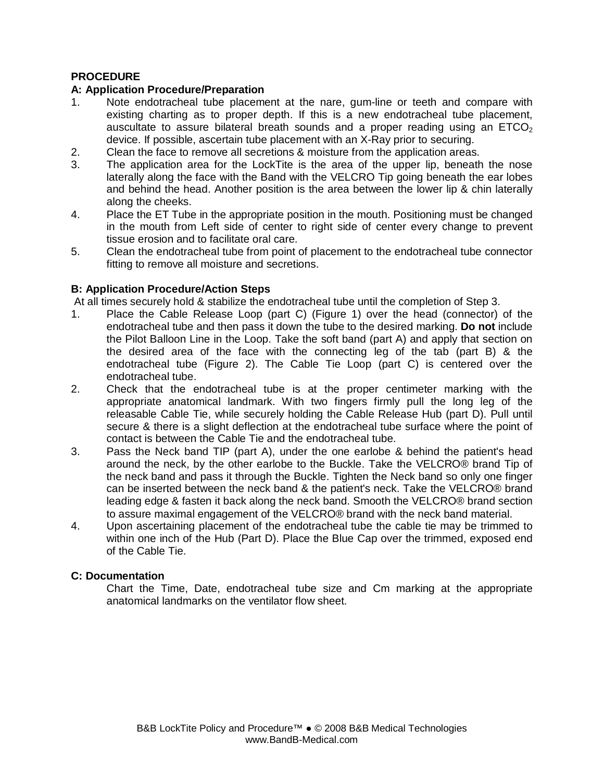## **PROCEDURE**

## **A: Application Procedure/Preparation**

- 1. Note endotracheal tube placement at the nare, gum-line or teeth and compare with existing charting as to proper depth. If this is a new endotracheal tube placement, auscultate to assure bilateral breath sounds and a proper reading using an  $ETCO<sub>2</sub>$ device. If possible, ascertain tube placement with an X-Ray prior to securing.
- 2. Clean the face to remove all secretions & moisture from the application areas.
- 3. The application area for the LockTite is the area of the upper lip, beneath the nose laterally along the face with the Band with the VELCRO Tip going beneath the ear lobes and behind the head. Another position is the area between the lower lip & chin laterally along the cheeks.
- 4. Place the ET Tube in the appropriate position in the mouth. Positioning must be changed in the mouth from Left side of center to right side of center every change to prevent tissue erosion and to facilitate oral care.
- 5. Clean the endotracheal tube from point of placement to the endotracheal tube connector fitting to remove all moisture and secretions.

### **B: Application Procedure/Action Steps**

At all times securely hold & stabilize the endotracheal tube until the completion of Step 3.

- 1. Place the Cable Release Loop (part C) (Figure 1) over the head (connector) of the endotracheal tube and then pass it down the tube to the desired marking. **Do not** include the Pilot Balloon Line in the Loop. Take the soft band (part A) and apply that section on the desired area of the face with the connecting leg of the tab (part B) & the endotracheal tube (Figure 2). The Cable Tie Loop (part C) is centered over the endotracheal tube.
- 2. Check that the endotracheal tube is at the proper centimeter marking with the appropriate anatomical landmark. With two fingers firmly pull the long leg of the releasable Cable Tie, while securely holding the Cable Release Hub (part D). Pull until secure & there is a slight deflection at the endotracheal tube surface where the point of contact is between the Cable Tie and the endotracheal tube.
- 3. Pass the Neck band TIP (part A), under the one earlobe & behind the patient's head around the neck, by the other earlobe to the Buckle. Take the VELCRO® brand Tip of the neck band and pass it through the Buckle. Tighten the Neck band so only one finger can be inserted between the neck band & the patient's neck. Take the VELCRO® brand leading edge & fasten it back along the neck band. Smooth the VELCRO® brand section to assure maximal engagement of the VELCRO® brand with the neck band material.
- 4. Upon ascertaining placement of the endotracheal tube the cable tie may be trimmed to within one inch of the Hub (Part D). Place the Blue Cap over the trimmed, exposed end of the Cable Tie.

## **C: Documentation**

 Chart the Time, Date, endotracheal tube size and Cm marking at the appropriate anatomical landmarks on the ventilator flow sheet.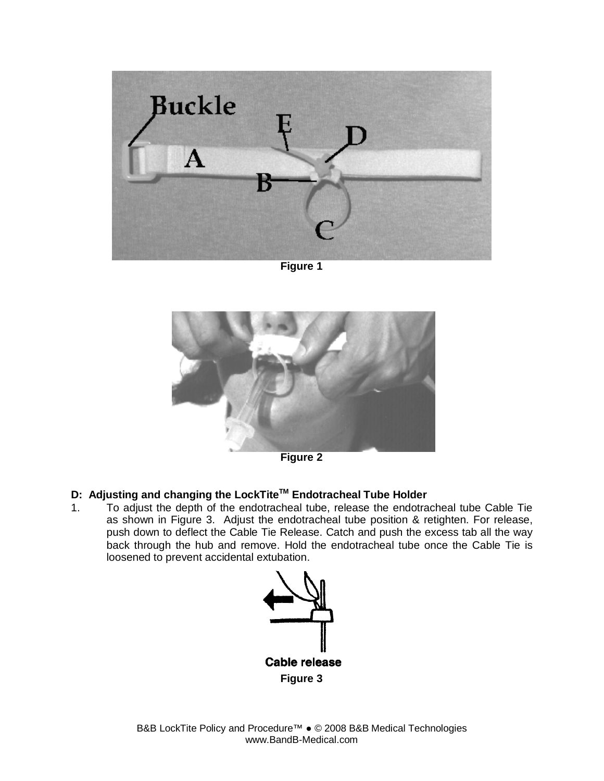

**Figure 1** 



**Figure 2** 

# **D: Adjusting and changing the LockTiteTM Endotracheal Tube Holder**

1. To adjust the depth of the endotracheal tube, release the endotracheal tube Cable Tie as shown in Figure 3. Adjust the endotracheal tube position & retighten. For release, push down to deflect the Cable Tie Release. Catch and push the excess tab all the way back through the hub and remove. Hold the endotracheal tube once the Cable Tie is loosened to prevent accidental extubation.